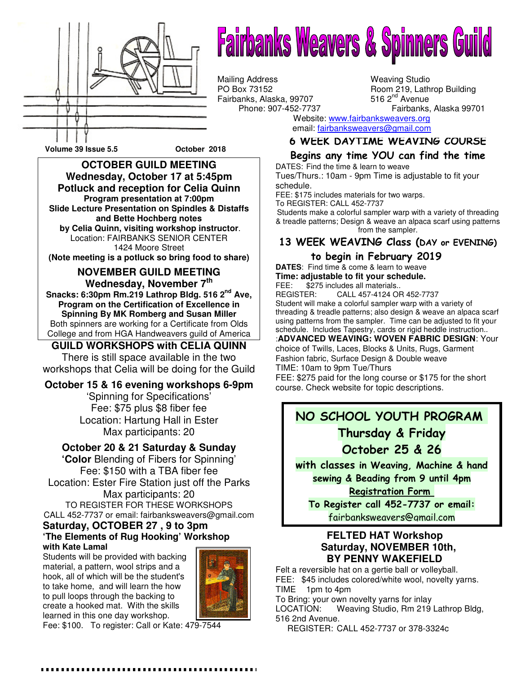

# **Fairbanks Weavers & Spinners Guild**

Mailing Address Weaving Studio<br>
PO Box 73152 Room 219, Lath Fairbanks, Alaska, 99707<br>Phone: 907-452-7737

Room 219, Lathrop Building 516  $2<sup>nd</sup>$  Avenue Fairbanks, Alaska 99701

Website: www.fairbanksweavers.org email: fairbanksweavers@gmail.com

#### 6 WEEK DAYTIME WEAVING COURSE

### Begins any time YOU can find the time

DATES: Find the time & learn to weave Tues/Thurs.: 10am - 9pm Time is adjustable to fit your schedule.

FEE: \$175 includes materials for two warps. To REGISTER: CALL 452-7737

Students make a colorful sampler warp with a variety of threading & treadle patterns; Design & weave an alpaca scarf using patterns from the sampler.

#### 13 WEEK WEAVING Class (DAY or EVENING)

### to begin in February 2019

**DATES**: Find time & come & learn to weave **Time: adjustable to fit your schedule.**

FEE: \$275 includes all materials..<br>REGISTER: CALL 457-4124 OI CALL 457-4124 OR 452-7737 Student will make a colorful sampler warp with a variety of threading & treadle patterns; also design & weave an alpaca scarf using patterns from the sampler. Time can be adjusted to fit your schedule. Includes Tapestry, cards or rigid heddle instruction.. :**ADVANCED WEAVING: WOVEN FABRIC DESIGN**: Your

choice of Twills, Laces, Blocks & Units, Rugs, Garment Fashion fabric, Surface Design & Double weave TIME: 10am to 9pm Tue/Thurs

FEE: \$275 paid for the long course or \$175 for the short course. Check website for topic descriptions.

## NO SCHOOL YOUTH PROGRAM

# Thursday & Friday October 25 & 26

with classes in Weaving, Machine & hand sewing & Beading from 9 until 4pm Registration Form

To Register call 452-7737 or email: fairbanksweavers@gmail.com

#### **FELTED HAT Workshop Saturday, NOVEMBER 10th, BY PENNY WAKEFIELD**

Felt a reversible hat on a gertie ball or volleyball. FEE: \$45 includes colored/white wool, novelty yarns. TIME 1pm to 4pm To Bring: your own novelty yarns for inlay

LOCATION: Weaving Studio, Rm 219 Lathrop Bldg, 516 2nd Avenue.

REGISTER: CALL 452-7737 or 378-3324c

 **Volume 39 Issue 5.5 October 2018** 

**OCTOBER GUILD MEETING Wednesday, October 17 at 5:45pm Potluck and reception for Celia Quinn Program presentation at 7:00pm Slide Lecture Presentation on Spindles & Distaffs and Bette Hochberg notes by Celia Quinn, visiting workshop instructor**. Location: FAIRBANKS SENIOR CENTER 1424 Moore Street

**(Note meeting is a potluck so bring food to share)** 

#### **NOVEMBER GUILD MEETING Wednesday, November 7th**

**Snacks: 6:30pm Rm.219 Lathrop Bldg. 516 2nd Ave, Program on the Certification of Excellence in Spinning By MK Romberg and Susan Miller**  Both spinners are working for a Certificate from Olds College and from HGA Handweavers guild of America

#### **GUILD WORKSHOPS with CELIA QUINN**

There is still space available in the two workshops that Celia will be doing for the Guild

#### **October 15 & 16 evening workshops 6-9pm**

'Spinning for Specifications' Fee: \$75 plus \$8 fiber fee Location: Hartung Hall in Ester Max participants: 20

#### **October 20 & 21 Saturday & Sunday**

**'Color** Blending of Fibers for Spinning' Fee: \$150 with a TBA fiber fee Location: Ester Fire Station just off the Parks Max participants: 20 TO REGISTER FOR THESE WORKSHOPS CALL 452-7737 or email: fairbanksweavers@gmail.com **Saturday, OCTOBER 27 , 9 to 3pm 'The Elements of Rug Hooking' Workshop** 

## **with Kate Lamal**

Students will be provided with backing material, a pattern, wool strips and a hook, all of which will be the student's to take home, and will learn the how to pull loops through the backing to create a hooked mat. With the skills learned in this one day workshop.



Fee: \$100. To register: Call or Kate: 479-7544